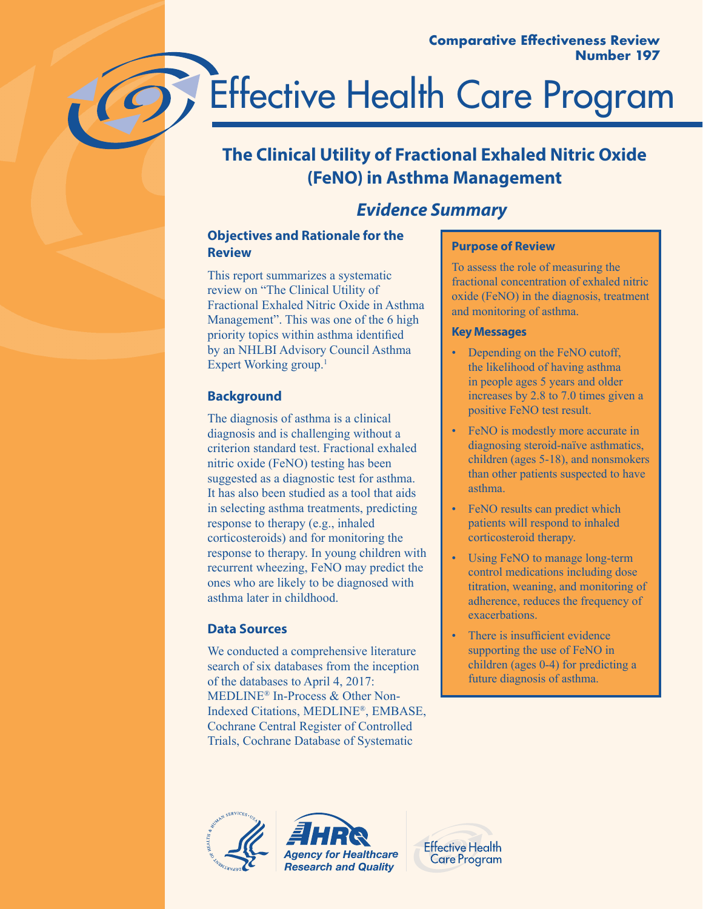# Effective Health Care Program

# **The Clinical Utility of Fractional Exhaled Nitric Oxide (FeNO) in Asthma Management**

# *E***vidence** *Summary*

# **Objectives and Rationale for the Review**

This report summarizes a systematic review on "The Clinical Utility of Fractional Exhaled Nitric Oxide in Asthma Management". This was one of the 6 high priority topics within asthma identified by an NHLBI Advisory Council Asthma Expert Working group.<sup>1</sup>

# **Background**

The diagnosis of asthma is a clinical diagnosis and is challenging without a criterion standard test. Fractional exhaled nitric oxide (FeNO) testing has been suggested as a diagnostic test for asthma. It has also been studied as a tool that aids in selecting asthma treatments, predicting response to therapy (e.g., inhaled corticosteroids) and for monitoring the response to therapy. In young children with recurrent wheezing, FeNO may predict the ones who are likely to be diagnosed with asthma later in childhood.

# **Data Sources**

We conducted a comprehensive literature search of six databases from the inception of the databases to April 4, 2017: MEDLINE® In-Process & Other Non-Indexed Citations, MEDLINE®, EMBASE, Cochrane Central Register of Controlled Trials, Cochrane Database of Systematic

# **Purpose of Review**

To assess the role of measuring the fractional concentration of exhaled nitric oxide (FeNO) in the diagnosis, treatment and monitoring of asthma.

# **Key Messages**

- Depending on the FeNO cutoff, the likelihood of having asthma in people ages 5 years and older increases by 2.8 to 7.0 times given a positive FeNO test result.
- FeNO is modestly more accurate in diagnosing steroid-naïve asthmatics, children (ages 5-18), and nonsmokers than other patients suspected to have asthma.
- FeNO results can predict which patients will respond to inhaled corticosteroid therapy.
- Using FeNO to manage long-term control medications including dose titration, weaning, and monitoring of adherence, reduces the frequency of exacerbations.
- There is insufficient evidence supporting the use of FeNO in children (ages 0-4) for predicting a future diagnosis of asthma.



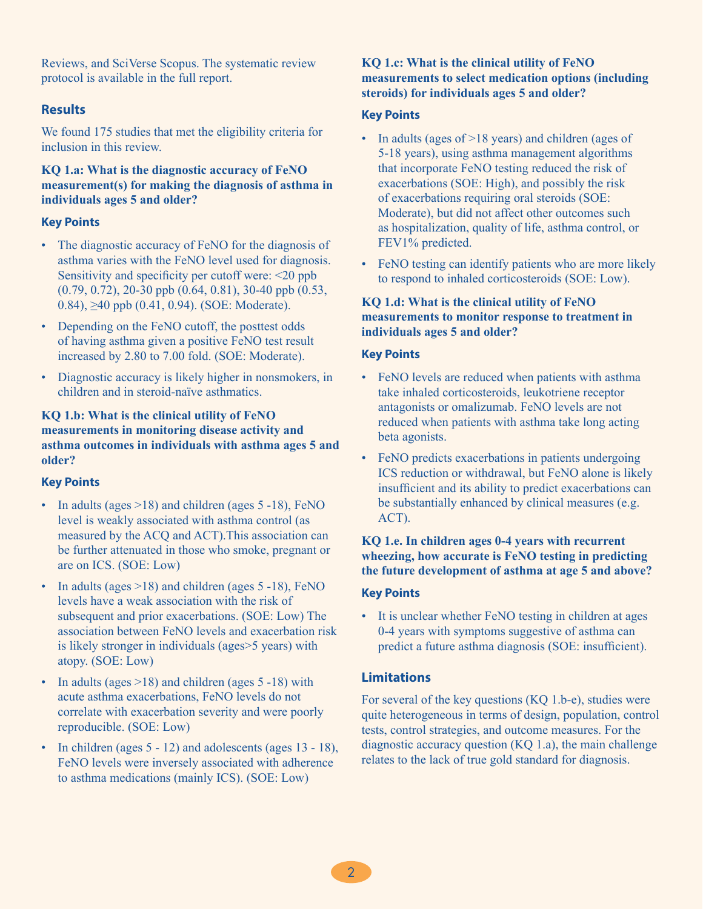Reviews, and SciVerse Scopus. The systematic review protocol is available in the full report.

#### **Results**

We found 175 studies that met the eligibility criteria for inclusion in this review.

#### **KQ 1.a: What is the diagnostic accuracy of FeNO measurement(s) for making the diagnosis of asthma in individuals ages 5 and older?**

#### **Key Points**

- The diagnostic accuracy of FeNO for the diagnosis of asthma varies with the FeNO level used for diagnosis. Sensitivity and specificity per cutoff were: <20 ppb (0.79, 0.72), 20-30 ppb (0.64, 0.81), 30-40 ppb (0.53, 0.84), ≥40 ppb (0.41, 0.94). (SOE: Moderate).
- Depending on the FeNO cutoff, the posttest odds of having asthma given a positive FeNO test result increased by 2.80 to 7.00 fold. (SOE: Moderate).
- Diagnostic accuracy is likely higher in nonsmokers, in children and in steroid-naïve asthmatics.

#### **KQ 1.b: What is the clinical utility of FeNO measurements in monitoring disease activity and asthma outcomes in individuals with asthma ages 5 and older?**

#### **Key Points**

- In adults (ages >18) and children (ages 5 -18), FeNO level is weakly associated with asthma control (as measured by the ACQ and ACT).This association can be further attenuated in those who smoke, pregnant or are on ICS. (SOE: Low)
- In adults (ages  $>18$ ) and children (ages  $5 -18$ ), FeNO levels have a weak association with the risk of subsequent and prior exacerbations. (SOE: Low) The association between FeNO levels and exacerbation risk is likely stronger in individuals (ages>5 years) with atopy. (SOE: Low)
- In adults (ages  $>18$ ) and children (ages 5 -18) with acute asthma exacerbations, FeNO levels do not correlate with exacerbation severity and were poorly reproducible. (SOE: Low)
- In children (ages 5 12) and adolescents (ages 13 18), FeNO levels were inversely associated with adherence to asthma medications (mainly ICS). (SOE: Low)

#### **KQ 1.c: What is the clinical utility of FeNO measurements to select medication options (including steroids) for individuals ages 5 and older?**

#### **Key Points**

- In adults (ages of >18 years) and children (ages of 5-18 years), using asthma management algorithms that incorporate FeNO testing reduced the risk of exacerbations (SOE: High), and possibly the risk of exacerbations requiring oral steroids (SOE: Moderate), but did not affect other outcomes such as hospitalization, quality of life, asthma control, or FEV1% predicted.
- FeNO testing can identify patients who are more likely to respond to inhaled corticosteroids (SOE: Low).

#### **KQ 1.d: What is the clinical utility of FeNO measurements to monitor response to treatment in individuals ages 5 and older?**

#### **Key Points**

- FeNO levels are reduced when patients with asthma take inhaled corticosteroids, leukotriene receptor antagonists or omalizumab. FeNO levels are not reduced when patients with asthma take long acting beta agonists.
- FeNO predicts exacerbations in patients undergoing ICS reduction or withdrawal, but FeNO alone is likely insufficient and its ability to predict exacerbations can be substantially enhanced by clinical measures (e.g. ACT).

#### **KQ 1.e. In children ages 0-4 years with recurrent wheezing, how accurate is FeNO testing in predicting the future development of asthma at age 5 and above?**

#### **Key Points**

• It is unclear whether FeNO testing in children at ages 0-4 years with symptoms suggestive of asthma can predict a future asthma diagnosis (SOE: insufficient).

#### **Limitations**

For several of the key questions (KQ 1.b-e), studies were quite heterogeneous in terms of design, population, control tests, control strategies, and outcome measures. For the diagnostic accuracy question (KQ 1.a), the main challenge relates to the lack of true gold standard for diagnosis.